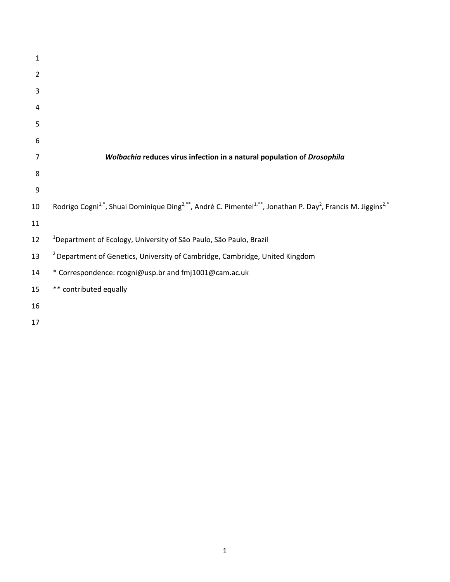| $\mathbf{1}$   |                                                                                                                                                                            |
|----------------|----------------------------------------------------------------------------------------------------------------------------------------------------------------------------|
| $\overline{2}$ |                                                                                                                                                                            |
| 3              |                                                                                                                                                                            |
| 4              |                                                                                                                                                                            |
| 5              |                                                                                                                                                                            |
| 6              |                                                                                                                                                                            |
| 7              | Wolbachia reduces virus infection in a natural population of Drosophila                                                                                                    |
| 8              |                                                                                                                                                                            |
| 9              |                                                                                                                                                                            |
| $10\,$         | Rodrigo Cogni <sup>1,*</sup> , Shuai Dominique Ding <sup>2,**</sup> , André C. Pimentel <sup>1,**</sup> , Jonathan P. Day <sup>2</sup> , Francis M. Jiggins <sup>2,*</sup> |
| 11             |                                                                                                                                                                            |
| 12             | <sup>1</sup> Department of Ecology, University of São Paulo, São Paulo, Brazil                                                                                             |
| 13             | <sup>2</sup> Department of Genetics, University of Cambridge, Cambridge, United Kingdom                                                                                    |
| 14             | * Correspondence: rcogni@usp.br and fmj1001@cam.ac.uk                                                                                                                      |
| 15             | ** contributed equally                                                                                                                                                     |
| 16             |                                                                                                                                                                            |
| 17             |                                                                                                                                                                            |
|                |                                                                                                                                                                            |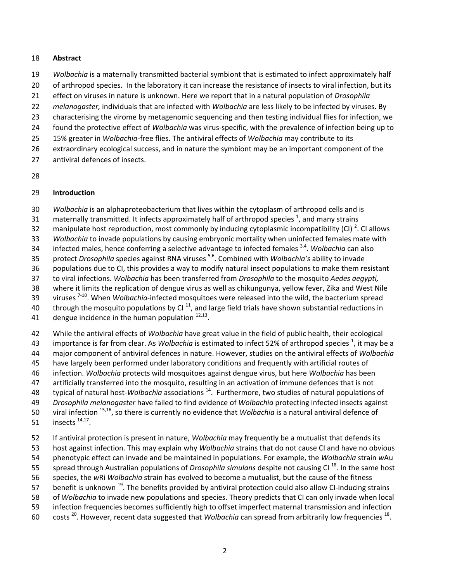#### 18 **Abstract**

- 19 *Wolbachia* is a maternally transmitted bacterial symbiont that is estimated to infect approximately half
- 20 of arthropod species. In the laboratory it can increase the resistance of insects to viral infection, but its
- 21 effect on viruses in nature is unknown. Here we report that in a natural population of *Drosophila*
- 22 *melanogaster,* individuals that are infected with *Wolbachia* are less likely to be infected by viruses. By
- 23 characterising the virome by metagenomic sequencing and then testing individual flies for infection, we
- 24 found the protective effect of *Wolbachia* was virus-specific, with the prevalence of infection being up to
- 25 15% greater in *Wolbachia-*free flies. The antiviral effects of *Wolbachia* may contribute to its
- 26 extraordinary ecological success, and in nature the symbiont may be an important component of the
- 27 antiviral defences of insects.
- 28

## 29 **Introduction**

- 30 *Wolbachia* is an alphaproteobacterium that lives within the cytoplasm of arthropod cells and is
- 31 maternally transmitted. It infects approximately half of arthropod species  $^1$ , and many strains
- 32 manipulate host reproduction, most commonly by inducing cytoplasmic incompatibility (CI)<sup>2</sup>. CI allows
- 33 *Wolbachia* to invade populations by causing embryonic mortality when uninfected females mate with
- 34 infected males, hence conferring a selective advantage to infected females <sup>3,4</sup>. *Wolbachia* can also
- protect *Drosophila* species against RNA viruses 5,6 35 . Combined with *Wolbachia's* ability to invade
- 36 populations due to CI, this provides a way to modify natural insect populations to make them resistant
- 37 to viral infections. *Wolbachia* has been transferred from *Drosophila* to the mosquito *Aedes aegypti,*
- 38 where it limits the replication of dengue virus as well as chikungunya, yellow fever, Zika and West Nile
- 39 viruses <sup>7-10</sup>. When *Wolbachia*-infected mosquitoes were released into the wild, the bacterium spread
- 40 through the mosquito populations by CI<sup>11</sup>, and large field trials have shown substantial reductions in
- 41 dengue incidence in the human population  $12,13$ .
- 42 While the antiviral effects of *Wolbachia* have great value in the field of public health, their ecological 43 importance is far from clear. As *Wolbachia* is estimated to infect 52% of arthropod species <sup>1</sup>, it may be a 44 major component of antiviral defences in nature. However, studies on the antiviral effects of *Wolbachia*  45 have largely been performed under laboratory conditions and frequently with artificial routes of 46 infection. *Wolbachia* protects wild mosquitoes against dengue virus, but here *Wolbachia* has been 47 artificially transferred into the mosquito, resulting in an activation of immune defences that is not typical of natural host-*Wolbachia* associations <sup>14</sup> 48 . Furthermore, two studies of natural populations of 49 *Drosophila melanogaster* have failed to find evidence of *Wolbachia* protecting infected insects against
- 50 viral infection <sup>15,16</sup>, so there is currently no evidence that *Wolbachia* is a natural antiviral defence of 51 insects  $14,17$ .
- 52 If antiviral protection is present in nature, *Wolbachia* may frequently be a mutualist that defends its 53 host against infection. This may explain why *Wolbachia* strains that do not cause CI and have no obvious 54 phenotypic effect can invade and be maintained in populations. For example, the *Wolbachia* strain *w*Au 55 spread through Australian populations of *Drosophila simulans* despite not causing CI<sup>18</sup>. In the same host 56 species, the *w*Ri *Wolbachia* strain has evolved to become a mutualist, but the cause of the fitness 57 benefit is unknown <sup>19</sup>. The benefits provided by antiviral protection could also allow CI-inducing strains 58 of *Wolbachia* to invade new populations and species. Theory predicts that CI can only invade when local 59 infection frequencies becomes sufficiently high to offset imperfect maternal transmission and infection 60 costs <sup>20</sup>. However, recent data suggested that *Wolbachia* can spread from arbitrarily low frequencies <sup>18</sup>.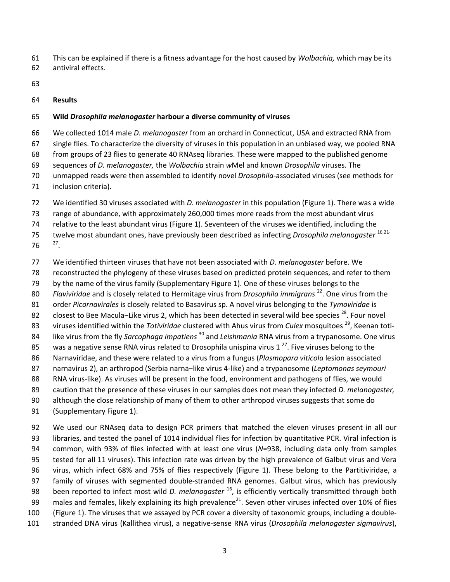- 61 This can be explained if there is a fitness advantage for the host caused by *Wolbachia,* which may be its
- 62 antiviral effects*.*
- 63

# 64 **Results**

# 65 **Wild** *Drosophila melanogaster* **harbour a diverse community of viruses**

66 We collected 1014 male *D. melanogaster* from an orchard in Connecticut, USA and extracted RNA from 67 single flies. To characterize the diversity of viruses in this population in an unbiased way, we pooled RNA

68 from groups of 23 flies to generate 40 RNAseq libraries. These were mapped to the published genome

69 sequences of *D. melanogaster,* the *Wolbachia* strain *w*Mel and known *Drosophila* viruses. The

- 70 unmapped reads were then assembled to identify novel *Drosophila*-associated viruses (see methods for
- 71 inclusion criteria).
- 72 We identified 30 viruses associated with *D. melanogaster* in this population (Figure 1). There was a wide
- 73 range of abundance, with approximately 260,000 times more reads from the most abundant virus

74 relative to the least abundant virus (Figure 1). Seventeen of the viruses we identified, including the

twelve most abundant ones, have previously been described as infecting *Drosophila melanogaster* 16,21- 75

- $76$   $^{27}$ .
- 77 We identified thirteen viruses that have not been associated with *D. melanogaster* before. We
- 78 reconstructed the phylogeny of these viruses based on predicted protein sequences, and refer to them
- 79 by the name of the virus family (Supplementary Figure 1). One of these viruses belongs to the
- *Flaviviridae* and is closely related to Hermitage virus from *Drosophila immigrans* <sup>22</sup> 80 . One virus from the
- 81 order *Picornavirales* is closely related to Basavirus sp. A novel virus belonging to the *Tymoviridae* is
- 82 closest to Bee Macula-Like virus 2, which has been detected in several wild bee species <sup>28</sup>. Four novel

83 viruses identified within the *Totiviridae* clustered with Ahus virus from *Culex* mosquitoes <sup>29</sup>, Keenan toti-

- like virus from the fly *Sarcophaga impatiens* <sup>30</sup> 84 and *Leishmania* RNA virus from a trypanosome. One virus
- 85 was a negative sense RNA virus related to Drosophila unispina virus 1<sup>27</sup>. Five viruses belong to the
- 86 Narnaviridae, and these were related to a virus from a fungus (*Plasmopara viticola* lesion associated
- 87 narnavirus 2), an arthropod (Serbia narna−like virus 4-like) and a trypanosome (*Leptomonas seymouri* 88 RNA virus-like). As viruses will be present in the food, environment and pathogens of flies, we would
- 89 caution that the presence of these viruses in our samples does not mean they infected *D. melanogaster,*
- 90 although the close relationship of many of them to other arthropod viruses suggests that some do
- 
- 91 (Supplementary Figure 1).

92 We used our RNAseq data to design PCR primers that matched the eleven viruses present in all our 93 libraries, and tested the panel of 1014 individual flies for infection by quantitative PCR. Viral infection is 94 common, with 93% of flies infected with at least one virus (*N*=938, including data only from samples 95 tested for all 11 viruses). This infection rate was driven by the high prevalence of Galbut virus and Vera 96 virus, which infect 68% and 75% of flies respectively (Figure 1). These belong to the Partitiviridae, a 97 family of viruses with segmented double-stranded RNA genomes. Galbut virus, which has previously 98 been reported to infect most wild *D. melanogaster* <sup>16</sup>, is efficiently vertically transmitted through both 99 males and females, likely explaining its high prevalence<sup>21</sup>. Seven other viruses infected over 10% of flies 100 (Figure 1). The viruses that we assayed by PCR cover a diversity of taxonomic groups, including a double-101 stranded DNA virus (Kallithea virus), a negative-sense RNA virus (*Drosophila melanogaster sigmavirus*),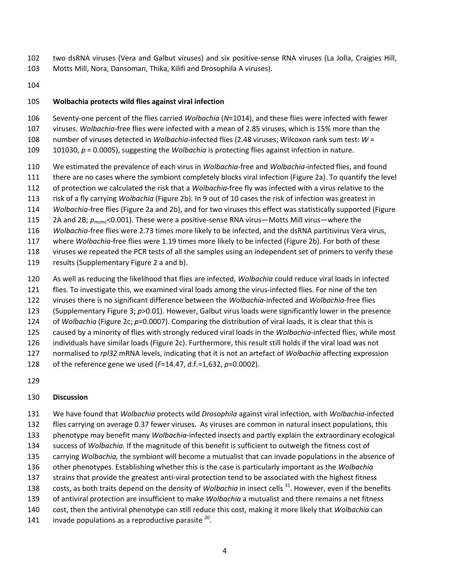- 102 two dsRNA viruses (Vera and Galbut viruses) and six positive-sense RNA viruses (La Jolla, Craigies Hill,
- 103 Motts Mill, Nora, Dansoman, Thika, Kilifi and Drosophila A viruses).
- 104

## 105 **Wolbachia protects wild flies against viral infection**

106 Seventy-one percent of the flies carried *Wolbachia* (*N*=1014), and these flies were infected with fewer

107 viruses. *Wolbachia-*free flies were infected with a mean of 2.85 viruses, which is 15% more than the

108 number of viruses detected in *Wolbachia*-infected flies (2.48 viruses; Wilcoxon rank sum test: *W* =

109 101030, *p* = 0.0005), suggesting the *Wolbachia* is protecting flies against infection in nature.

- 110 We estimated the prevalence of each virus in *Wolbachia*-free and *Wolbachia*-infected flies, and found
- 111 there are no cases where the symbiont completely blocks viral infection (Figure 2a). To quantify the level
- 112 of protection we calculated the risk that a *Wolbachia*-free fly was infected with a virus relative to the
- 113 risk of a fly carrying *Wolbachia* (Figure 2b)*.* In 9 out of 10 cases the risk of infection was greatest in
- 114 *Wolbachia-*free flies (Figure 2a and 2b), and for two viruses this effect was statistically supported (Figure
- 115 2A and 2B; *pmcmc*<0.001). These were a positive-sense RNA virus—Motts Mill virus—where the

116 *Wolbachia-*free flies were 2.73 times more likely to be infected, and the dsRNA partitivirus Vera virus,

- 117 where *Wolbachia-*free flies were 1.19 times more likely to be infected (Figure 2b). For both of these
- 118 viruses we repeated the PCR tests of all the samples using an independent set of primers to verify these
- 119 results (Supplementary Figure 2 a and b).
- 120 As well as reducing the likelihood that flies are infected, *Wolbachia* could reduce viral loads in infected
- 121 flies. To investigate this, we examined viral loads among the virus-infected flies. For nine of the ten
- 122 viruses there is no significant difference between the *Wolbachia-*infected and *Wolbachia-*free flies
- 123 (Supplementary Figure 3; *p*>0.01). However, Galbut virus loads were significantly lower in the presence
- 124 of *Wolbachia* (Figure 2c; *p*=0.0007). Comparing the distribution of viral loads, it is clear that this is
- 125 caused by a minority of flies with strongly reduced viral loads in the *Wolbachia*-infected flies, while most
- 126 individuals have similar loads (Figure 2c). Furthermore, this result still holds if the viral load was not
- 127 normalised to *rpl32* mRNA levels, indicating that it is not an artefact of *Wolbachia* affecting expression
- 128 of the reference gene we used (*F*=14.47, d.f.=1,632, *p*=0.0002).
- 129

# 130 **Discussion**

131 We have found that *Wolbachia* protects wild *Drosophila* against viral infection, with *Wolbachia-*infected 132 flies carrying on average 0.37 fewer viruses. As viruses are common in natural insect populations, this 133 phenotype may benefit many *Wolbachia*-infected insects and partly explain the extraordinary ecological 134 success of *Wolbachia.* If the magnitude of this benefit is sufficient to outweigh the fitness cost of 135 carrying *Wolbachia,* the symbiont will become a mutualist that can invade populations in the absence of 136 other phenotypes. Establishing whether this is the case is particularly important as the *Wolbachia*  137 strains that provide the greatest anti-viral protection tend to be associated with the highest fitness 138 costs, as both traits depend on the density of *Wolbachia* in insect cells <sup>31</sup>. However, even if the benefits 139 of antiviral protection are insufficient to make *Wolbachia* a mutualist and there remains a net fitness 140 cost, then the antiviral phenotype can still reduce this cost, making it more likely that *Wolbachia* can

141 invade populations as a reproductive parasite  $20$ .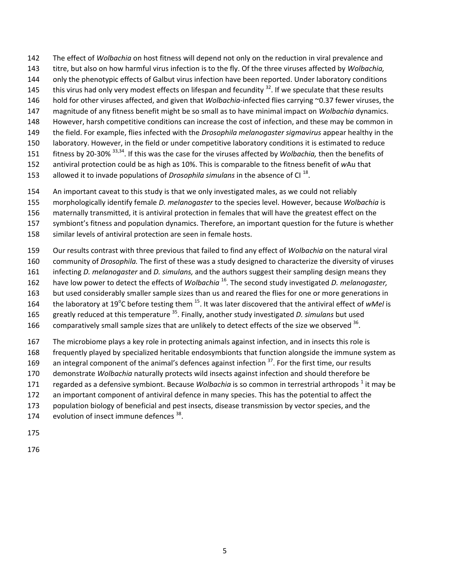- 142 The effect of *Wolbachia* on host fitness will depend not only on the reduction in viral prevalence and
- 143 titre, but also on how harmful virus infection is to the fly. Of the three viruses affected by *Wolbachia,*
- 144 only the phenotypic effects of Galbut virus infection have been reported. Under laboratory conditions
- 145 this virus had only very modest effects on lifespan and fecundity  $32$ . If we speculate that these results
- 146 hold for other viruses affected, and given that *Wolbachia-*infected flies carrying ~0.37 fewer viruses, the
- 147 magnitude of any fitness benefit might be so small as to have minimal impact on *Wolbachia* dynamics. 148 However, harsh competitive conditions can increase the cost of infection, and these may be common in
- 149 the field. For example, flies infected with the *Drosophila melanogaster sigmavirus* appear healthy in the
- 150 laboratory. However, in the field or under competitive laboratory conditions it is estimated to reduce
- fitness by 20-30% 33,34 151 . If this was the case for the viruses affected by *Wolbachia,* then the benefits of
- 152 antiviral protection could be as high as 10%. This is comparable to the fitness benefit of *w*Au that
- 153 allowed it to invade populations of *Drosophila simulans* in the absence of CI<sup>18</sup>.
- 154 An important caveat to this study is that we only investigated males, as we could not reliably
- 155 morphologically identify female *D. melanogaster* to the species level. However, because *Wolbachia* is
- 156 maternally transmitted, it is antiviral protection in females that will have the greatest effect on the
- 157 symbiont's fitness and population dynamics. Therefore, an important question for the future is whether
- 158 similar levels of antiviral protection are seen in female hosts.
- 159 Our results contrast with three previous that failed to find any effect of *Wolbachia* on the natural viral
- 160 community of *Drosophila.* The first of these was a study designed to characterize the diversity of viruses
- 161 infecting *D. melanogaster* and *D. simulans,* and the authors suggest their sampling design means they
- have low power to detect the effects of *Wolbachia* <sup>16</sup> 162 *.* The second study investigated *D. melanogaster,*
- 163 but used considerably smaller sample sizes than us and reared the flies for one or more generations in
- 164 the laboratory at 19<sup>°</sup>C before testing them <sup>15</sup>. It was later discovered that the antiviral effect of *wMel* is
- 165 greatly reduced at this temperature <sup>35</sup>. Finally, another study investigated *D. simulans* but used
- 166 comparatively small sample sizes that are unlikely to detect effects of the size we observed  $36$ .
- 167 The microbiome plays a key role in protecting animals against infection, and in insects this role is
- 168 frequently played by specialized heritable endosymbionts that function alongside the immune system as
- 169 an integral component of the animal's defences against infection  $37$ . For the first time, our results
- 170 demonstrate *Wolbachia* naturally protects wild insects against infection and should therefore be
- 171 regarded as a defensive symbiont. Because *Wolbachia* is so common in terrestrial arthropods <sup>1</sup> it may be
- 172 an important component of antiviral defence in many species. This has the potential to affect the
- 173 population biology of beneficial and pest insects, disease transmission by vector species, and the
- 174 evolution of insect immune defences <sup>38</sup>.
- 175
- 176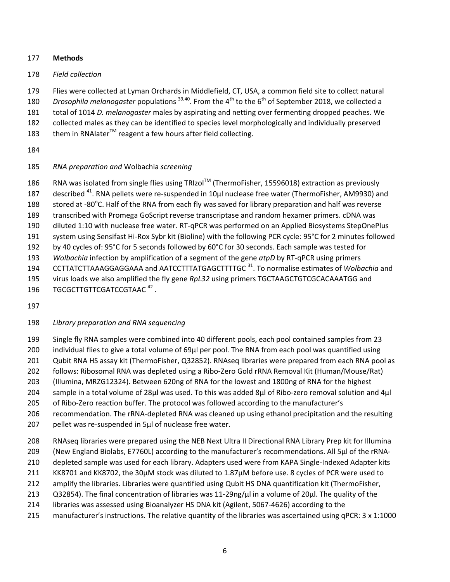#### 177 **Methods**

#### 178 *Field collection*

179 Flies were collected at Lyman Orchards in Middlefield, CT, USA, a common field site to collect natural

180 Drosophila melanogaster populations<sup>39,40</sup>. From the 4<sup>th</sup> to the 6<sup>th</sup> of September 2018, we collected a

181 total of 1014 *D. melanogaster* males by aspirating and netting over fermenting dropped peaches. We

- 182 collected males as they can be identified to species level morphologically and individually preserved
- 183 them in RNAlater<sup>TM</sup> reagent a few hours after field collecting.
- 184

## 185 *RNA preparation and* Wolbachia *screening*

186 RNA was isolated from single flies using TRIzol™ (ThermoFisher, 15596018) extraction as previously

187 described <sup>41</sup>. RNA pellets were re-suspended in 10µl nuclease free water (ThermoFisher, AM9930) and

188 stored at -80 $\degree$ C. Half of the RNA from each fly was saved for library preparation and half was reverse

189 transcribed with Promega GoScript reverse transcriptase and random hexamer primers. cDNA was

190 diluted 1:10 with nuclease free water. RT-qPCR was performed on an Applied Biosystems StepOnePlus

191 system using Sensifast Hi-Rox Sybr kit (Bioline) with the following PCR cycle: 95°C for 2 minutes followed

192 by 40 cycles of: 95°C for 5 seconds followed by 60°C for 30 seconds. Each sample was tested for

193 *Wolbachia* infection by amplification of a segment of the gene *atpD* by RT-qPCR using primers

194 CCTTATCTTAAAGGAGGAAA and AATCCTTTATGAGCTTTTGC<sup>31</sup>. To normalise estimates of *Wolbachia* and

195 virus loads we also amplified the fly gene *RpL32* using primers TGCTAAGCTGTCGCACAAATGG and 196 TGCGCTTGTTCGATCCGTAAC<sup>42</sup>.

197

# 198 *Library preparation and RNA sequencing*

199 Single fly RNA samples were combined into 40 different pools, each pool contained samples from 23

200 individual flies to give a total volume of 69µl per pool. The RNA from each pool was quantified using

201 Qubit RNA HS assay kit (ThermoFisher, Q32852). RNAseq libraries were prepared from each RNA pool as

202 follows: Ribosomal RNA was depleted using a Ribo-Zero Gold rRNA Removal Kit (Human/Mouse/Rat)

203 (Illumina, MRZG12324). Between 620ng of RNA for the lowest and 1800ng of RNA for the highest

204 sample in a total volume of 28µl was used. To this was added 8µl of Ribo-zero removal solution and 4µl

205 of Ribo-Zero reaction buffer. The protocol was followed according to the manufacturer's

206 recommendation. The rRNA-depleted RNA was cleaned up using ethanol precipitation and the resulting

207 pellet was re-suspended in 5µl of nuclease free water.

208 RNAseq libraries were prepared using the NEB Next Ultra II Directional RNA Library Prep kit for Illumina

209 (New England Biolabs, E7760L) according to the manufacturer's recommendations. All 5µl of the rRNA-

210 depleted sample was used for each library. Adapters used were from KAPA Single-Indexed Adapter kits

211 KK8701 and KK8702, the 30µM stock was diluted to 1.87µM before use. 8 cycles of PCR were used to

212 amplify the libraries. Libraries were quantified using Qubit HS DNA quantification kit (ThermoFisher,

213 Q32854). The final concentration of libraries was 11-29ng/µl in a volume of 20µl. The quality of the

214 libraries was assessed using Bioanalyzer HS DNA kit (Agilent, 5067-4626) according to the

215 manufacturer's instructions. The relative quantity of the libraries was ascertained using qPCR: 3 x 1:1000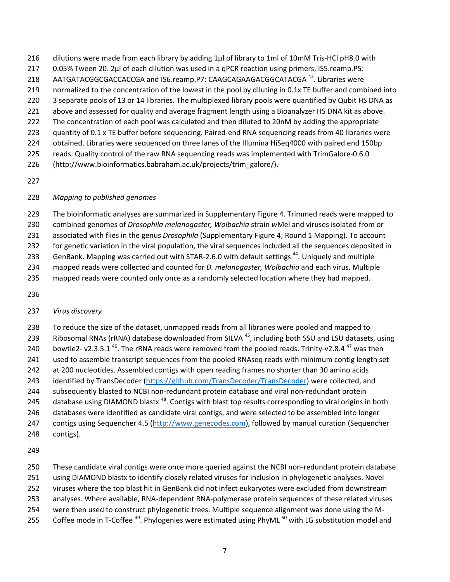- 216 dilutions were made from each library by adding 1µl of library to 1ml of 10mM Tris-HCl pH8.0 with
- 217 0.05% Tween 20. 2µl of each dilution was used in a qPCR reaction using primers, IS5.reamp.P5:
- 218 AATGATACGGCGACCACCGA and IS6.reamp.P7: CAAGCAGAAGACGGCATACGA<sup>43</sup>. Libraries were
- 219 normalized to the concentration of the lowest in the pool by diluting in 0.1x TE buffer and combined into
- 220 3 separate pools of 13 or 14 libraries. The multiplexed library pools were quantified by Qubit HS DNA as
- 221 above and assessed for quality and average fragment length using a Bioanalyzer HS DNA kit as above.
- 222 The concentration of each pool was calculated and then diluted to 20nM by adding the appropriate
- 223 quantity of 0.1 x TE buffer before sequencing. Paired-end RNA sequencing reads from 40 libraries were
- 224 obtained. Libraries were sequenced on three lanes of the Illumina HiSeq4000 with paired end 150bp
- 225 reads. Quality control of the raw RNA sequencing reads was implemented with TrimGalore-0.6.0
- 226 (http://www.bioinformatics.babraham.ac.uk/projects/trim\_galore/).
- 227

#### 228 *Mapping to published genomes*

229 The bioinformatic analyses are summarized in Supplementary Figure 4. Trimmed reads were mapped to

230 combined genomes of *Drosophila melanogaster, Wolbachia* strain *w*Mel and viruses isolated from or

- 231 associated with flies in the genus *Drosophila* (Supplementary Figure 4; Round 1 Mapping)*.* To account
- 232 for genetic variation in the viral population, the viral sequences included all the sequences deposited in
- 233 GenBank. Mapping was carried out with STAR-2.6.0 with default settings<sup>44</sup>. Uniquely and multiple
- 234 mapped reads were collected and counted for *D. melanogaster, Wolbachia* and each virus. Multiple
- 235 mapped reads were counted only once as a randomly selected location where they had mapped.
- 236

# 237 *Virus discovery*

238 To reduce the size of the dataset, unmapped reads from all libraries were pooled and mapped to

239 Ribosomal RNAs (rRNA) database downloaded from SILVA<sup>45</sup>, including both SSU and LSU datasets, using

240 bowtie2- v2.3.5.1  $^{46}$ . The rRNA reads were removed from the pooled reads. Trinity-v2.8.4  $^{47}$  was then

241 used to assemble transcript sequences from the pooled RNAseq reads with minimum contig length set

- 242 at 200 nucleotides. Assembled contigs with open reading frames no shorter than 30 amino acids
- 243 identified by TransDecoder (https://github.com/TransDecoder/TransDecoder) were collected, and
- 244 subsequently blasted to NCBI non-redundant protein database and viral non-redundant protein
- 245 database using DIAMOND blastx<sup>48</sup>. Contigs with blast top results corresponding to viral origins in both
- 246 databases were identified as candidate viral contigs, and were selected to be assembled into longer
- 247 contigs using Sequencher 4.5 (http://www.genecodes.com), followed by manual curation (Sequencher 248 contigs).
- 

249

250 These candidate viral contigs were once more queried against the NCBI non-redundant protein database 251 using DIAMOND blastx to identify closely related viruses for inclusion in phylogenetic analyses. Novel 252 viruses where the top blast hit in GenBank did not infect eukaryotes were excluded from downstream 253 analyses. Where available, RNA-dependent RNA-polymerase protein sequences of these related viruses 254 were then used to construct phylogenetic trees. Multiple sequence alignment was done using the M-255 Coffee mode in T-Coffee<sup>49</sup>. Phylogenies were estimated using PhyML<sup>50</sup> with LG substitution model and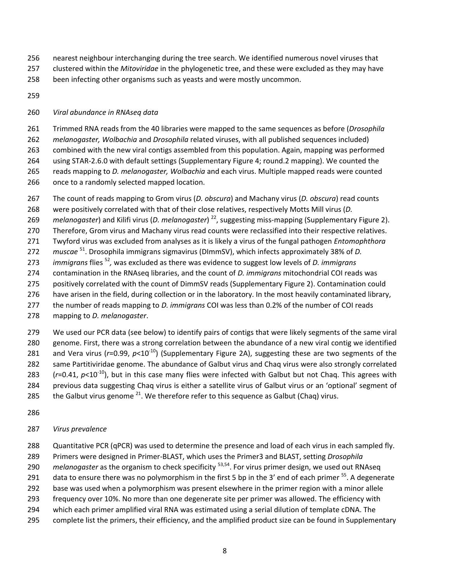- 256 nearest neighbour interchanging during the tree search. We identified numerous novel viruses that
- 257 clustered within the *Mitoviridae* in the phylogenetic tree, and these were excluded as they may have
- 258 been infecting other organisms such as yeasts and were mostly uncommon.
- 259

#### 260 *Viral abundance in RNAseq data*

261 Trimmed RNA reads from the 40 libraries were mapped to the same sequences as before (*Drosophila*  262 *melanogaster, Wolbachia* and *Drosophila* related viruses, with all published sequences included) 263 combined with the new viral contigs assembled from this population. Again, mapping was performed 264 using STAR-2.6.0 with default settings (Supplementary Figure 4; round.2 mapping). We counted the 265 reads mapping to *D. melanogaster, Wolbachia* and each virus. Multiple mapped reads were counted 266 once to a randomly selected mapped location.

- 267 The count of reads mapping to Grom virus (*D. obscura*) and Machany virus (*D. obscura*) read counts
- 268 were positively correlated with that of their close relatives, respectively Motts Mill virus (*D.*
- 269 melanogaster) and Kilifi virus (*D. melanogaster*)<sup>22</sup>, suggesting miss-mapping (Supplementary Figure 2).
- 270 Therefore, Grom virus and Machany virus read counts were reclassified into their respective relatives.
- 271 Twyford virus was excluded from analyses as it is likely a virus of the fungal pathogen *Entomophthora*
- *muscae* <sup>51</sup> 272 . Drosophila immigrans sigmavirus (DImmSV), which infects approximately 38% of *D.*
- 273 *immigrans flies* <sup>52</sup>, was excluded as there was evidence to suggest low levels of *D. immigrans*
- 274 contamination in the RNAseq libraries, and the count of *D. immigrans* mitochondrial COI reads was
- 275 positively correlated with the count of DimmSV reads (Supplementary Figure 2). Contamination could
- 276 have arisen in the field, during collection or in the laboratory. In the most heavily contaminated library,
- 277 the number of reads mapping to *D. immigrans* COI was less than 0.2% of the number of COI reads
- 278 mapping to *D. melanogaster*.
- 279 We used our PCR data (see below) to identify pairs of contigs that were likely segments of the same viral 280 genome. First, there was a strong correlation between the abundance of a new viral contig we identified 281 and Vera virus ( $r=0.99$ ,  $p<10^{-10}$ ) (Supplementary Figure 2A), suggesting these are two segments of the 282 same Partitiviridae genome. The abundance of Galbut virus and Chaq virus were also strongly correlated 283 ( $r=0.41$ ,  $p<10^{-10}$ ), but in this case many flies were infected with Galbut but not Chaq. This agrees with 284 previous data suggesting Chaq virus is either a satellite virus of Galbut virus or an 'optional' segment of 285 the Galbut virus genome  $^{21}$ . We therefore refer to this sequence as Galbut (Chaq) virus.
- 286

# 287 *Virus prevalence*

- 288 Quantitative PCR (qPCR) was used to determine the presence and load of each virus in each sampled fly.
- 289 Primers were designed in Primer-BLAST, which uses the Primer3 and BLAST, setting *Drosophila*
- 290 melanogaster as the organism to check specificity <sup>53,54</sup>. For virus primer design, we used out RNAseq
- 291 data to ensure there was no polymorphism in the first 5 bp in the 3' end of each primer  $55$ . A degenerate
- 292 base was used when a polymorphism was present elsewhere in the primer region with a minor allele
- 293 frequency over 10%. No more than one degenerate site per primer was allowed. The efficiency with 294 which each primer amplified viral RNA was estimated using a serial dilution of template cDNA. The
- 295 complete list the primers, their efficiency, and the amplified product size can be found in Supplementary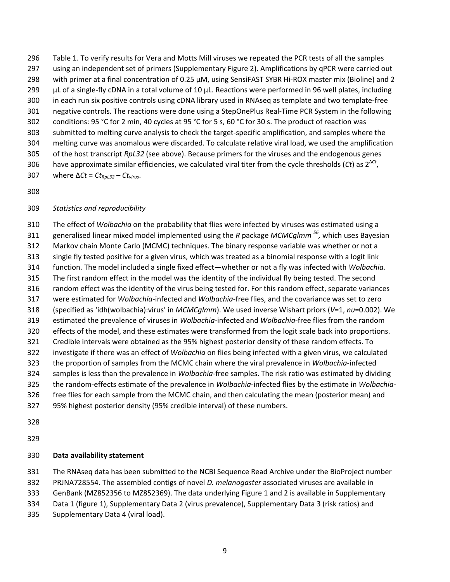296 Table 1. To verify results for Vera and Motts Mill viruses we repeated the PCR tests of all the samples 297 using an independent set of primers (Supplementary Figure 2). Amplifications by qPCR were carried out 298 with primer at a final concentration of 0.25  $\mu$ M, using SensiFAST SYBR Hi-ROX master mix (Bioline) and 2 299  $\mu$ L of a single-fly cDNA in a total volume of 10  $\mu$ L. Reactions were performed in 96 well plates, including 300 in each run six positive controls using cDNA library used in RNAseq as template and two template-free 301 negative controls. The reactions were done using a StepOnePlus Real-Time PCR System in the following 302 conditions: 95 °C for 2 min, 40 cycles at 95 °C for 5 s, 60 °C for 30 s. The product of reaction was 303 submitted to melting curve analysis to check the target-specific amplification, and samples where the 304 melting curve was anomalous were discarded. To calculate relative viral load, we used the amplification 305 of the host transcript *RpL32* (see above). Because primers for the viruses and the endogenous genes have approximate similar efficiencies, we calculated viral titer from the cycle thresholds (*Ct*) as 2<sup>Δ*Ct*</sup>, 307 where  $\Delta Ct = Ct_{Rol,32} - Ct_{virus}$ .

308

#### 309 *Statistics and reproducibility*

310 The effect of *Wolbachia* on the probability that flies were infected by viruses was estimated using a generalised linear mixed model implemented using the *R* package *MCMCglmm <sup>56</sup>* 311 *,* which uses Bayesian 312 Markov chain Monte Carlo (MCMC) techniques. The binary response variable was whether or not a 313 single fly tested positive for a given virus, which was treated as a binomial response with a logit link 314 function. The model included a single fixed effect—whether or not a fly was infected with *Wolbachia.*  315 The first random effect in the model was the identity of the individual fly being tested. The second 316 random effect was the identity of the virus being tested for. For this random effect, separate variances 317 were estimated for *Wolbachia*-infected and *Wolbachia*-free flies, and the covariance was set to zero 318 (specified as 'idh(wolbachia):virus' in *MCMCglmm*). We used inverse Wishart priors (*V*=1, *nu*=0.002). We 319 estimated the prevalence of viruses in *Wolbachia*-infected and *Wolbachia*-free flies from the random 320 effects of the model, and these estimates were transformed from the logit scale back into proportions. 321 Credible intervals were obtained as the 95% highest posterior density of these random effects. To 322 investigate if there was an effect of *Wolbachia* on flies being infected with a given virus, we calculated 323 the proportion of samples from the MCMC chain where the viral prevalence in *Wolbachia*-infected 324 samples is less than the prevalence in *Wolbachia-*free samples. The risk ratio was estimated by dividing 325 the random-effects estimate of the prevalence in *Wolbachia-*infected flies by the estimate in *Wolbachia-*326 free flies for each sample from the MCMC chain, and then calculating the mean (posterior mean) and 327 95% highest posterior density (95% credible interval) of these numbers.

- 328
- 329

#### 330 **Data availability statement**

331 The RNAseq data has been submitted to the NCBI Sequence Read Archive under the BioProject number

332 PRJNA728554. The assembled contigs of novel *D. melanogaster* associated viruses are available in

333 GenBank (MZ852356 to MZ852369). The data underlying Figure 1 and 2 is available in Supplementary

334 Data 1 (figure 1), Supplementary Data 2 (virus prevalence), Supplementary Data 3 (risk ratios) and

335 Supplementary Data 4 (viral load).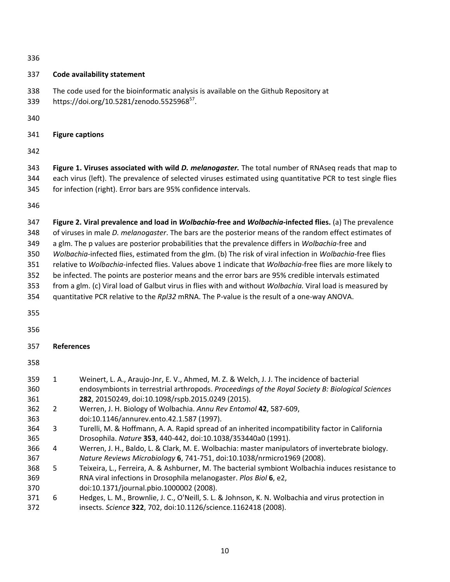336

## 337 **Code availability statement**

- 338 The code used for the bioinformatic analysis is available on the Github Repository at
- 339 https://doi.org/10.5281/zenodo.5525968<sup>57</sup>.
- 340
- 341 **Figure captions**
- 342

343 **Figure 1. Viruses associated with wild** *D. melanogaster.* The total number of RNAseq reads that map to 344 each virus (left). The prevalence of selected viruses estimated using quantitative PCR to test single flies 345 for infection (right). Error bars are 95% confidence intervals.

346

347 **Figure 2. Viral prevalence and load in** *Wolbachia***-free and** *Wolbachia-***infected flies.** (a) The prevalence 348 of viruses in male *D. melanogaster*. The bars are the posterior means of the random effect estimates of 349 a glm. The p values are posterior probabilities that the prevalence differs in *Wolbachia*-free and 350 *Wolbachia*-infected flies, estimated from the glm. (b) The risk of viral infection in *Wolbachia-*free flies 351 relative to *Wolbachia*-infected flies. Values above 1 indicate that *Wolbachia-*free flies are more likely to 352 be infected. The points are posterior means and the error bars are 95% credible intervals estimated 353 from a glm. (c) Viral load of Galbut virus in flies with and without *Wolbachia.* Viral load is measured by 354 quantitative PCR relative to the *Rpl32* mRNA. The P-value is the result of a one-way ANOVA. 355 356 357 **References** 358 359 1 Weinert, L. A., Araujo-Jnr, E. V., Ahmed, M. Z. & Welch, J. J. The incidence of bacterial 360 endosymbionts in terrestrial arthropods. *Proceedings of the Royal Society B: Biological Sciences* 361 **282**, 20150249, doi:10.1098/rspb.2015.0249 (2015). 362 2 Werren, J. H. Biology of Wolbachia. *Annu Rev Entomol* **42**, 587-609, 363 doi:10.1146/annurev.ento.42.1.587 (1997). 364 3 Turelli, M. & Hoffmann, A. A. Rapid spread of an inherited incompatibility factor in California 365 Drosophila. *Nature* **353**, 440-442, doi:10.1038/353440a0 (1991).

- 366 4 Werren, J. H., Baldo, L. & Clark, M. E. Wolbachia: master manipulators of invertebrate biology. 367 *Nature Reviews Microbiology* **6**, 741-751, doi:10.1038/nrmicro1969 (2008).
- 368 5 Teixeira, L., Ferreira, A. & Ashburner, M. The bacterial symbiont Wolbachia induces resistance to 369 RNA viral infections in Drosophila melanogaster. *Plos Biol* **6**, e2, 370 doi:10.1371/journal.pbio.1000002 (2008).
- 371 6 Hedges, L. M., Brownlie, J. C., O'Neill, S. L. & Johnson, K. N. Wolbachia and virus protection in 372 insects. *Science* **322**, 702, doi:10.1126/science.1162418 (2008).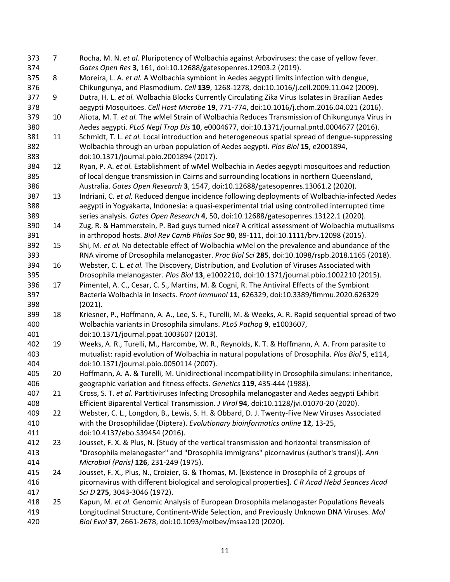| 373 | $\overline{7}$ | Rocha, M. N. et al. Pluripotency of Wolbachia against Arboviruses: the case of yellow fever.                                                             |
|-----|----------------|----------------------------------------------------------------------------------------------------------------------------------------------------------|
| 374 |                | Gates Open Res 3, 161, doi:10.12688/gatesopenres.12903.2 (2019).                                                                                         |
| 375 | 8              | Moreira, L. A. et al. A Wolbachia symbiont in Aedes aegypti limits infection with dengue,                                                                |
| 376 |                | Chikungunya, and Plasmodium. Cell 139, 1268-1278, doi:10.1016/j.cell.2009.11.042 (2009).                                                                 |
| 377 | 9              | Dutra, H. L. et al. Wolbachia Blocks Currently Circulating Zika Virus Isolates in Brazilian Aedes                                                        |
| 378 |                | aegypti Mosquitoes. Cell Host Microbe 19, 771-774, doi:10.1016/j.chom.2016.04.021 (2016).                                                                |
| 379 | 10             | Aliota, M. T. et al. The wMel Strain of Wolbachia Reduces Transmission of Chikungunya Virus in                                                           |
| 380 |                | Aedes aegypti. PLoS Negl Trop Dis 10, e0004677, doi:10.1371/journal.pntd.0004677 (2016).                                                                 |
| 381 | 11             | Schmidt, T. L. et al. Local introduction and heterogeneous spatial spread of dengue-suppressing                                                          |
| 382 |                | Wolbachia through an urban population of Aedes aegypti. Plos Biol 15, e2001894,                                                                          |
| 383 |                | doi:10.1371/journal.pbio.2001894 (2017).                                                                                                                 |
| 384 | 12             | Ryan, P. A. et al. Establishment of wMel Wolbachia in Aedes aegypti mosquitoes and reduction                                                             |
| 385 |                | of local dengue transmission in Cairns and surrounding locations in northern Queensland,                                                                 |
| 386 |                | Australia. Gates Open Research 3, 1547, doi:10.12688/gatesopenres.13061.2 (2020).                                                                        |
| 387 | 13             | Indriani, C. et al. Reduced dengue incidence following deployments of Wolbachia-infected Aedes                                                           |
| 388 |                | aegypti in Yogyakarta, Indonesia: a quasi-experimental trial using controlled interrupted time                                                           |
| 389 |                | series analysis. Gates Open Research 4, 50, doi:10.12688/gatesopenres.13122.1 (2020).                                                                    |
| 390 | 14             | Zug, R. & Hammerstein, P. Bad guys turned nice? A critical assessment of Wolbachia mutualisms                                                            |
| 391 |                | in arthropod hosts. Biol Rev Camb Philos Soc 90, 89-111, doi:10.1111/brv.12098 (2015).                                                                   |
| 392 | 15             | Shi, M. et al. No detectable effect of Wolbachia wMel on the prevalence and abundance of the                                                             |
| 393 |                | RNA virome of Drosophila melanogaster. Proc Biol Sci 285, doi:10.1098/rspb.2018.1165 (2018).                                                             |
| 394 | 16             | Webster, C. L. et al. The Discovery, Distribution, and Evolution of Viruses Associated with                                                              |
| 395 |                | Drosophila melanogaster. Plos Biol 13, e1002210, doi:10.1371/journal.pbio.1002210 (2015).                                                                |
| 396 | 17             | Pimentel, A. C., Cesar, C. S., Martins, M. & Cogni, R. The Antiviral Effects of the Symbiont                                                             |
| 397 |                | Bacteria Wolbachia in Insects. Front Immunol 11, 626329, doi:10.3389/fimmu.2020.626329                                                                   |
| 398 |                | (2021).                                                                                                                                                  |
| 399 | 18             | Kriesner, P., Hoffmann, A. A., Lee, S. F., Turelli, M. & Weeks, A. R. Rapid sequential spread of two                                                     |
| 400 |                | Wolbachia variants in Drosophila simulans. PLoS Pathog 9, e1003607,                                                                                      |
| 401 |                | doi:10.1371/journal.ppat.1003607 (2013).                                                                                                                 |
| 402 | 19             | Weeks, A. R., Turelli, M., Harcombe, W. R., Reynolds, K. T. & Hoffmann, A. A. From parasite to                                                           |
| 403 |                | mutualist: rapid evolution of Wolbachia in natural populations of Drosophila. Plos Biol 5, e114,                                                         |
| 404 |                | doi:10.1371/journal.pbio.0050114 (2007).                                                                                                                 |
| 405 | 20             | Hoffmann, A. A. & Turelli, M. Unidirectional incompatibility in Drosophila simulans: inheritance,                                                        |
| 406 |                | geographic variation and fitness effects. Genetics 119, 435-444 (1988).                                                                                  |
| 407 | 21             | Cross, S. T. et al. Partitiviruses Infecting Drosophila melanogaster and Aedes aegypti Exhibit                                                           |
| 408 |                | Efficient Biparental Vertical Transmission. J Virol 94, doi:10.1128/jvi.01070-20 (2020).                                                                 |
| 409 | 22             | Webster, C. L., Longdon, B., Lewis, S. H. & Obbard, D. J. Twenty-Five New Viruses Associated                                                             |
| 410 |                | with the Drosophilidae (Diptera). Evolutionary bioinformatics online 12, 13-25,                                                                          |
| 411 |                | doi:10.4137/ebo.S39454 (2016).                                                                                                                           |
| 412 | 23             | Jousset, F. X. & Plus, N. [Study of the vertical transmission and horizontal transmission of                                                             |
| 413 |                | "Drosophila melanogaster" and "Drosophila immigrans" picornavirus (author's transl)]. Ann                                                                |
| 414 |                | Microbiol (Paris) 126, 231-249 (1975).                                                                                                                   |
| 415 | 24             | Jousset, F. X., Plus, N., Croizier, G. & Thomas, M. [Existence in Drosophila of 2 groups of                                                              |
| 416 |                | picornavirus with different biological and serological properties]. CR Acad Hebd Seances Acad                                                            |
| 417 |                | Sci D 275, 3043-3046 (1972).                                                                                                                             |
| 418 | 25             | Kapun, M. et al. Genomic Analysis of European Drosophila melanogaster Populations Reveals                                                                |
| 419 |                |                                                                                                                                                          |
| 420 |                | Longitudinal Structure, Continent-Wide Selection, and Previously Unknown DNA Viruses. Mol<br>Biol Evol 37, 2661-2678, doi:10.1093/molbev/msaa120 (2020). |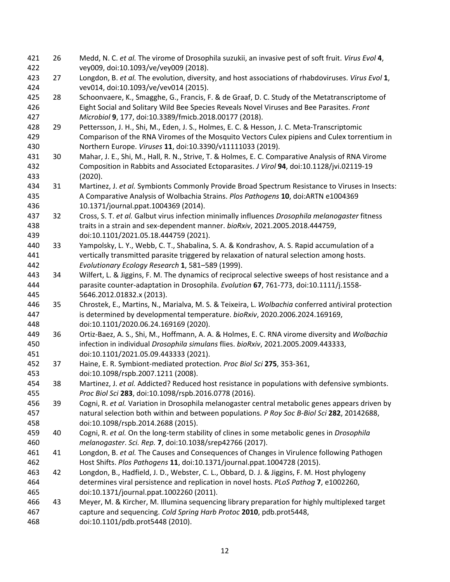421 26 Medd, N. C. *et al.* The virome of Drosophila suzukii, an invasive pest of soft fruit. *Virus Evol* **4**, 422 vey009, doi:10.1093/ve/vey009 (2018). 423 27 Longdon, B. *et al.* The evolution, diversity, and host associations of rhabdoviruses. *Virus Evol* **1**, 424 vev014, doi:10.1093/ve/vev014 (2015). 425 28 Schoonvaere, K., Smagghe, G., Francis, F. & de Graaf, D. C. Study of the Metatranscriptome of 426 Eight Social and Solitary Wild Bee Species Reveals Novel Viruses and Bee Parasites. *Front*  427 *Microbiol* **9**, 177, doi:10.3389/fmicb.2018.00177 (2018). 428 29 Pettersson, J. H., Shi, M., Eden, J. S., Holmes, E. C. & Hesson, J. C. Meta-Transcriptomic 429 Comparison of the RNA Viromes of the Mosquito Vectors Culex pipiens and Culex torrentium in 430 Northern Europe. *Viruses* **11**, doi:10.3390/v11111033 (2019). 431 30 Mahar, J. E., Shi, M., Hall, R. N., Strive, T. & Holmes, E. C. Comparative Analysis of RNA Virome 432 Composition in Rabbits and Associated Ectoparasites. *J Virol* **94**, doi:10.1128/jvi.02119-19 433 (2020). 434 31 Martinez, J. *et al.* Symbionts Commonly Provide Broad Spectrum Resistance to Viruses in Insects: 435 A Comparative Analysis of Wolbachia Strains. *Plos Pathogens* **10**, doi:ARTN e1004369 436 10.1371/journal.ppat.1004369 (2014). 437 32 Cross, S. T. *et al.* Galbut virus infection minimally influences *Drosophila melanogaster* fitness 438 traits in a strain and sex-dependent manner. *bioRxiv*, 2021.2005.2018.444759, 439 doi:10.1101/2021.05.18.444759 (2021). 440 33 Yampolsky, L. Y., Webb, C. T., Shabalina, S. A. & Kondrashov, A. S. Rapid accumulation of a 441 vertically transmitted parasite triggered by relaxation of natural selection among hosts. 442 *Evolutionary Ecology Research* **1**, 581–589 (1999). 443 34 Wilfert, L. & Jiggins, F. M. The dynamics of reciprocal selective sweeps of host resistance and a 444 parasite counter-adaptation in Drosophila. *Evolution* **67**, 761-773, doi:10.1111/j.1558- 445 5646.2012.01832.x (2013). 446 35 Chrostek, E., Martins, N., Marialva, M. S. & Teixeira, L. *Wolbachia* conferred antiviral protection 447 is determined by developmental temperature. *bioRxiv*, 2020.2006.2024.169169, 448 doi:10.1101/2020.06.24.169169 (2020). 449 36 Ortiz-Baez, A. S., Shi, M., Hoffmann, A. A. & Holmes, E. C. RNA virome diversity and *Wolbachia*  450 infection in individual *Drosophila simulans* flies. *bioRxiv*, 2021.2005.2009.443333, 451 doi:10.1101/2021.05.09.443333 (2021). 452 37 Haine, E. R. Symbiont-mediated protection. *Proc Biol Sci* **275**, 353-361, 453 doi:10.1098/rspb.2007.1211 (2008). 454 38 Martinez, J. *et al.* Addicted? Reduced host resistance in populations with defensive symbionts. 455 *Proc Biol Sci* **283**, doi:10.1098/rspb.2016.0778 (2016). 456 39 Cogni, R. *et al.* Variation in Drosophila melanogaster central metabolic genes appears driven by 457 natural selection both within and between populations. *P Roy Soc B-Biol Sci* **282**, 20142688, 458 doi:10.1098/rspb.2014.2688 (2015). 459 40 Cogni, R. *et al.* On the long-term stability of clines in some metabolic genes in *Drosophila*  460 *melanogaster*. *Sci. Rep.* **7**, doi:10.1038/srep42766 (2017). 461 41 Longdon, B. *et al.* The Causes and Consequences of Changes in Virulence following Pathogen 462 Host Shifts. *Plos Pathogens* **11**, doi:10.1371/journal.ppat.1004728 (2015). 463 42 Longdon, B., Hadfield, J. D., Webster, C. L., Obbard, D. J. & Jiggins, F. M. Host phylogeny 464 determines viral persistence and replication in novel hosts. *PLoS Pathog* **7**, e1002260, 465 doi:10.1371/journal.ppat.1002260 (2011). 466 43 Meyer, M. & Kircher, M. Illumina sequencing library preparation for highly multiplexed target 467 capture and sequencing. *Cold Spring Harb Protoc* **2010**, pdb.prot5448, 468 doi:10.1101/pdb.prot5448 (2010).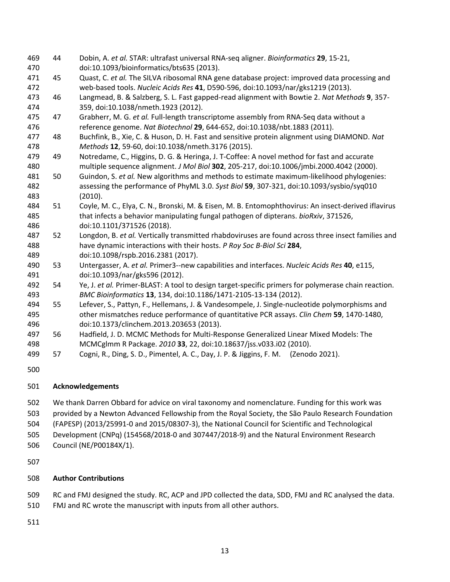| 469 | 44 | Dobin, A. et al. STAR: ultrafast universal RNA-seq aligner. Bioinformatics 29, 15-21,               |
|-----|----|-----------------------------------------------------------------------------------------------------|
| 470 |    | doi:10.1093/bioinformatics/bts635 (2013).                                                           |
| 471 | 45 | Quast, C. et al. The SILVA ribosomal RNA gene database project: improved data processing and        |
| 472 |    | web-based tools. Nucleic Acids Res 41, D590-596, doi:10.1093/nar/gks1219 (2013).                    |
| 473 | 46 | Langmead, B. & Salzberg, S. L. Fast gapped-read alignment with Bowtie 2. Nat Methods 9, 357-        |
| 474 |    | 359, doi:10.1038/nmeth.1923 (2012).                                                                 |
| 475 | 47 | Grabherr, M. G. et al. Full-length transcriptome assembly from RNA-Seq data without a               |
| 476 |    | reference genome. Nat Biotechnol 29, 644-652, doi:10.1038/nbt.1883 (2011).                          |
| 477 | 48 | Buchfink, B., Xie, C. & Huson, D. H. Fast and sensitive protein alignment using DIAMOND. Nat        |
| 478 |    | Methods 12, 59-60, doi:10.1038/nmeth.3176 (2015).                                                   |
| 479 | 49 | Notredame, C., Higgins, D. G. & Heringa, J. T-Coffee: A novel method for fast and accurate          |
| 480 |    | multiple sequence alignment. J Mol Biol 302, 205-217, doi:10.1006/jmbi.2000.4042 (2000).            |
| 481 | 50 | Guindon, S. et al. New algorithms and methods to estimate maximum-likelihood phylogenies:           |
| 482 |    | assessing the performance of PhyML 3.0. Syst Biol 59, 307-321, doi:10.1093/sysbio/syq010            |
| 483 |    | (2010).                                                                                             |
| 484 | 51 | Coyle, M. C., Elya, C. N., Bronski, M. & Eisen, M. B. Entomophthovirus: An insect-derived iflavirus |
| 485 |    | that infects a behavior manipulating fungal pathogen of dipterans. bioRxiv, 371526,                 |
| 486 |    | doi:10.1101/371526 (2018).                                                                          |
| 487 | 52 | Longdon, B. et al. Vertically transmitted rhabdoviruses are found across three insect families and  |
| 488 |    | have dynamic interactions with their hosts. P Roy Soc B-Biol Sci 284,                               |
| 489 |    | doi:10.1098/rspb.2016.2381 (2017).                                                                  |
| 490 | 53 | Untergasser, A. et al. Primer3--new capabilities and interfaces. Nucleic Acids Res 40, e115,        |
| 491 |    | doi:10.1093/nar/gks596 (2012).                                                                      |
| 492 | 54 | Ye, J. et al. Primer-BLAST: A tool to design target-specific primers for polymerase chain reaction. |
| 493 |    | BMC Bioinformatics 13, 134, doi:10.1186/1471-2105-13-134 (2012).                                    |
| 494 | 55 | Lefever, S., Pattyn, F., Hellemans, J. & Vandesompele, J. Single-nucleotide polymorphisms and       |
| 495 |    | other mismatches reduce performance of quantitative PCR assays. Clin Chem 59, 1470-1480,            |
| 496 |    | doi:10.1373/clinchem.2013.203653 (2013).                                                            |
| 497 | 56 | Hadfield, J. D. MCMC Methods for Multi-Response Generalized Linear Mixed Models: The                |
| 498 |    | MCMCglmm R Package. 2010 33, 22, doi:10.18637/jss.v033.i02 (2010).                                  |
| 499 | 57 | Cogni, R., Ding, S. D., Pimentel, A. C., Day, J. P. & Jiggins, F. M.<br>(Zenodo 2021).              |
|     |    |                                                                                                     |

500

#### 501 **Acknowledgements**

502 We thank Darren Obbard for advice on viral taxonomy and nomenclature. Funding for this work was 503 provided by a Newton Advanced Fellowship from the Royal Society, the São Paulo Research Foundation 504 (FAPESP) (2013/25991-0 and 2015/08307-3), the National Council for Scientific and Technological

505 Development (CNPq) (154568/2018-0 and 307447/2018-9) and the Natural Environment Research

506 Council (NE/P00184X/1).

507

# 508 **Author Contributions**

509 RC and FMJ designed the study. RC, ACP and JPD collected the data, SDD, FMJ and RC analysed the data.

510 FMJ and RC wrote the manuscript with inputs from all other authors.

511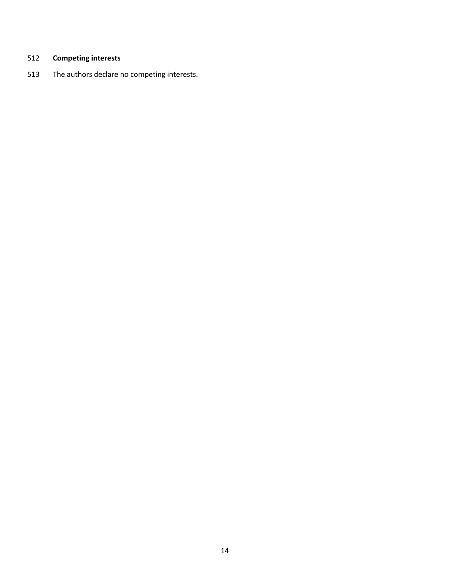# **Competing interests**

513 The authors declare no competing interests.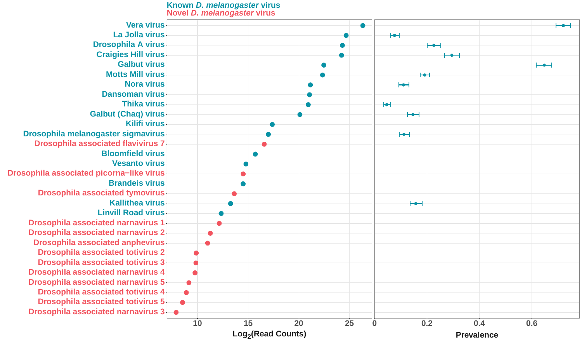

# **Known D. melanogaster virus Novel D. melanogaster virus**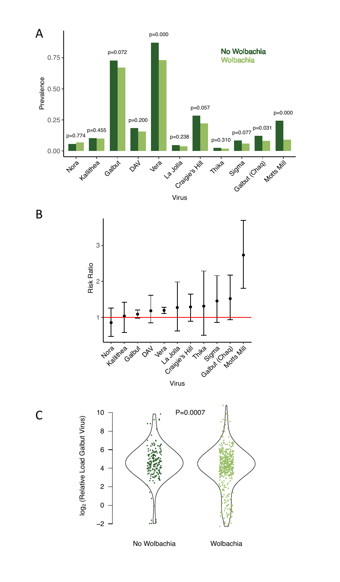



C



No Wolbachia Wolbachia